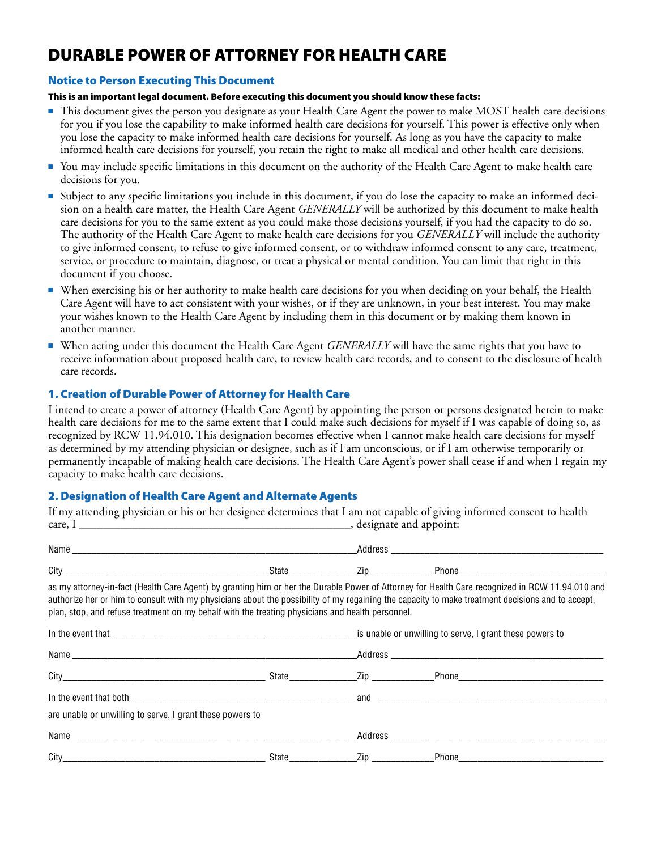# DURABLE POWER OF ATTORNEY FOR HEALTH CARE

#### Notice to Person Executing This Document

## This is an important legal document. Before executing this document you should know these facts:

- This document gives the person you designate as your Health Care Agent the power to make MOST health care decisions for you if you lose the capability to make informed health care decisions for yourself. This power is effective only when you lose the capacity to make informed health care decisions for yourself. As long as you have the capacity to make informed health care decisions for yourself, you retain the right to make all medical and other health care decisions.
- You may include specific limitations in this document on the authority of the Health Care Agent to make health care decisions for you.
- Subject to any specific limitations you include in this document, if you do lose the capacity to make an informed decision on a health care matter, the Health Care Agent *GENERALLY* will be authorized by this document to make health care decisions for you to the same extent as you could make those decisions yourself, if you had the capacity to do so. The authority of the Health Care Agent to make health care decisions for you *GENERALLY* will include the authority to give informed consent, to refuse to give informed consent, or to withdraw informed consent to any care, treatment, service, or procedure to maintain, diagnose, or treat a physical or mental condition. You can limit that right in this document if you choose.
- When exercising his or her authority to make health care decisions for you when deciding on your behalf, the Health Care Agent will have to act consistent with your wishes, or if they are unknown, in your best interest. You may make your wishes known to the Health Care Agent by including them in this document or by making them known in another manner.
- When acting under this document the Health Care Agent *GENERALLY* will have the same rights that you have to receive information about proposed health care, to review health care records, and to consent to the disclosure of health care records.

# 1. Creation of Durable Power of Attorney for Health Care

I intend to create a power of attorney (Health Care Agent) by appointing the person or persons designated herein to make health care decisions for me to the same extent that I could make such decisions for myself if I was capable of doing so, as recognized by RCW 11.94.010. This designation becomes effective when I cannot make health care decisions for myself as determined by my attending physician or designee, such as if I am unconscious, or if I am otherwise temporarily or permanently incapable of making health care decisions. The Health Care Agent's power shall cease if and when I regain my capacity to make health care decisions.

# 2. Designation of Health Care Agent and Alternate Agents

If my attending physician or his or her designee determines that I am not capable of giving informed consent to health care, I \_\_\_\_\_\_\_\_\_\_\_\_\_\_\_\_\_\_\_\_\_\_\_\_\_\_\_\_\_\_\_\_\_\_\_\_\_\_\_\_\_\_\_\_\_\_, designate and appoint:

| Name |       | Address |       |
|------|-------|---------|-------|
| City | State | ---     | Phone |

as my attorney-in-fact (Health Care Agent) by granting him or her the Durable Power of Attorney for Health Care recognized in RCW 11.94.010 and authorize her or him to consult with my physicians about the possibility of my regaining the capacity to make treatment decisions and to accept, plan, stop, and refuse treatment on my behalf with the treating physicians and health personnel.

|                                                                                                                                                                                                                               |  |  | is unable or unwilling to serve, I grant these powers to |  |
|-------------------------------------------------------------------------------------------------------------------------------------------------------------------------------------------------------------------------------|--|--|----------------------------------------------------------|--|
|                                                                                                                                                                                                                               |  |  |                                                          |  |
|                                                                                                                                                                                                                               |  |  |                                                          |  |
| In the event that both the control of the control of the control of the control of the control of the control of the control of the control of the control of the control of the control of the control of the control of the |  |  |                                                          |  |
| are unable or unwilling to serve, I grant these powers to                                                                                                                                                                     |  |  |                                                          |  |
|                                                                                                                                                                                                                               |  |  |                                                          |  |
|                                                                                                                                                                                                                               |  |  |                                                          |  |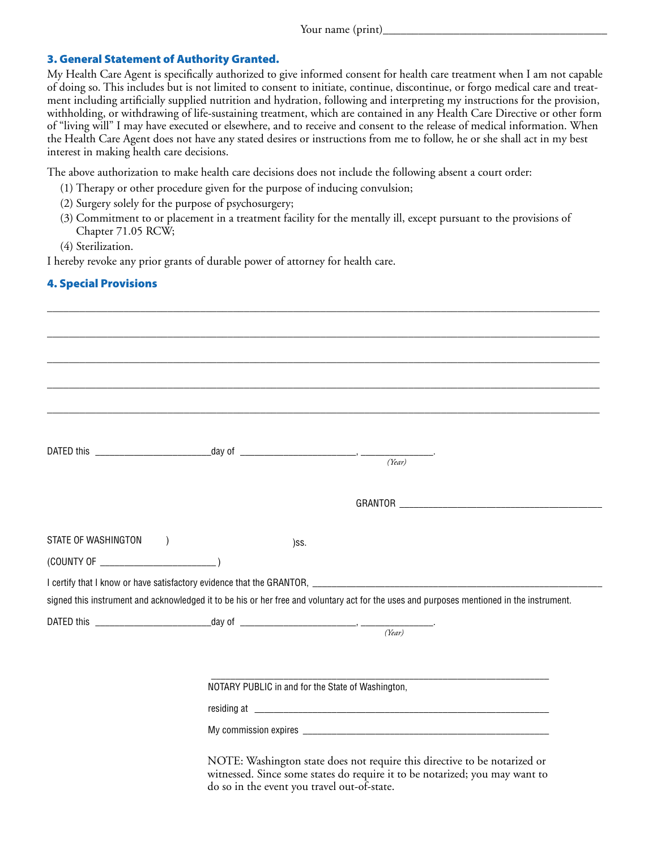### 3. General Statement of Authority Granted.

My Health Care Agent is specifically authorized to give informed consent for health care treatment when I am not capable of doing so. This includes but is not limited to consent to initiate, continue, discontinue, or forgo medical care and treatment including artificially supplied nutrition and hydration, following and interpreting my instructions for the provision, withholding, or withdrawing of life-sustaining treatment, which are contained in any Health Care Directive or other form of "living will" I may have executed or elsewhere, and to receive and consent to the release of medical information. When the Health Care Agent does not have any stated desires or instructions from me to follow, he or she shall act in my best interest in making health care decisions.

The above authorization to make health care decisions does not include the following absent a court order:

- (1) Therapy or other procedure given for the purpose of inducing convulsion;
- (2) Surgery solely for the purpose of psychosurgery;
- (3) Commitment to or placement in a treatment facility for the mentally ill, except pursuant to the provisions of Chapter 71.05 RCW;

(4) Sterilization.

I hereby revoke any prior grants of durable power of attorney for health care.

## 4. Special Provisions

|                         | GRANTOR CONSERVERS AND RESIDENCE IN THE CONSERVERS OF THE CONSERVERS OF THE CONSERVERS OF THE CONSERVERS OF THE CONSERVERS OF THE CONSERVERS OF THE CONSERVERS OF THE CONSERVERS OF THE CONSERVERS OF THE CONSERVERS OF THE CO |  |  |
|-------------------------|--------------------------------------------------------------------------------------------------------------------------------------------------------------------------------------------------------------------------------|--|--|
| STATE OF WASHINGTON (a) | )SS.                                                                                                                                                                                                                           |  |  |
|                         |                                                                                                                                                                                                                                |  |  |
|                         |                                                                                                                                                                                                                                |  |  |
|                         | signed this instrument and acknowledged it to be his or her free and voluntary act for the uses and purposes mentioned in the instrument.                                                                                      |  |  |
|                         |                                                                                                                                                                                                                                |  |  |
|                         |                                                                                                                                                                                                                                |  |  |
|                         |                                                                                                                                                                                                                                |  |  |
|                         | NOTARY PUBLIC in and for the State of Washington,                                                                                                                                                                              |  |  |
|                         |                                                                                                                                                                                                                                |  |  |
|                         |                                                                                                                                                                                                                                |  |  |
|                         |                                                                                                                                                                                                                                |  |  |
|                         | NOTE: Washington state does not require this directive to be notarized or<br>witnessed. Since some states do require it to be notarized; you may want to                                                                       |  |  |

do so in the event you travel out-of-state.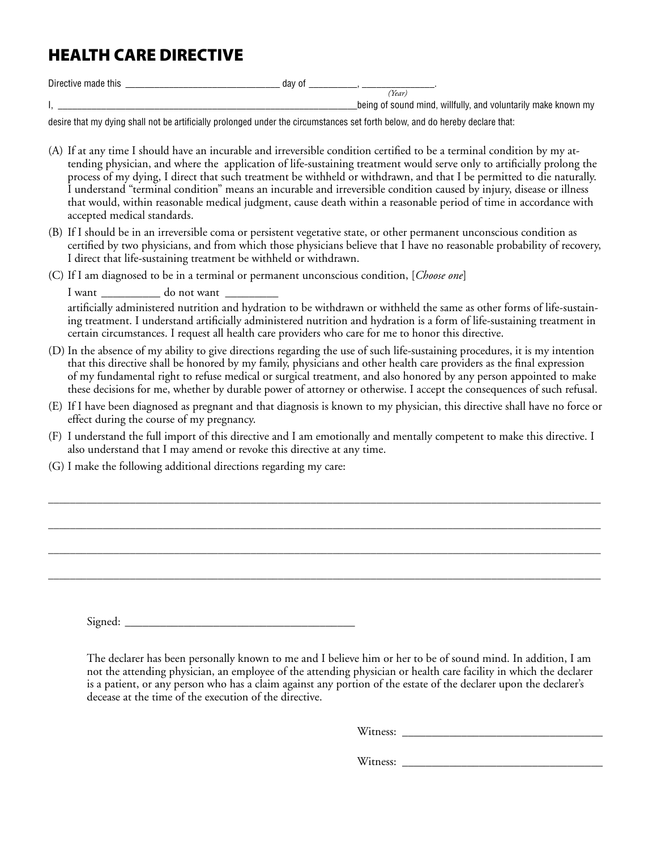# HEALTH CARE DIRECTIVE

| Directive made this | dav<br>v                                                      |
|---------------------|---------------------------------------------------------------|
|                     | 'Year)                                                        |
|                     | being of sound mind, willfully, and voluntarily make known my |

desire that my dying shall not be artificially prolonged under the circumstances set forth below, and do hereby declare that:

- (A) If at any time I should have an incurable and irreversible condition certified to be a terminal condition by my attending physician, and where the application of life-sustaining treatment would serve only to artificially prolong the process of my dying, I direct that such treatment be withheld or withdrawn, and that I be permitted to die naturally. I understand "terminal condition" means an incurable and irreversible condition caused by injury, disease or illness that would, within reasonable medical judgment, cause death within a reasonable period of time in accordance with accepted medical standards.
- (B) If I should be in an irreversible coma or persistent vegetative state, or other permanent unconscious condition as certified by two physicians, and from which those physicians believe that I have no reasonable probability of recovery, I direct that life-sustaining treatment be withheld or withdrawn.
- (C) If I am diagnosed to be in a terminal or permanent unconscious condition, [*Choose one*]

I want \_\_\_\_\_\_\_\_\_\_ do not want \_\_\_\_\_\_\_\_\_

artificially administered nutrition and hydration to be withdrawn or withheld the same as other forms of life-sustaining treatment. I understand artificially administered nutrition and hydration is a form of life-sustaining treatment in certain circumstances. I request all health care providers who care for me to honor this directive.

- (D) In the absence of my ability to give directions regarding the use of such life-sustaining procedures, it is my intention that this directive shall be honored by my family, physicians and other health care providers as the final expression of my fundamental right to refuse medical or surgical treatment, and also honored by any person appointed to make these decisions for me, whether by durable power of attorney or otherwise. I accept the consequences of such refusal.
- (E) If I have been diagnosed as pregnant and that diagnosis is known to my physician, this directive shall have no force or effect during the course of my pregnancy.
- (F) I understand the full import of this directive and I am emotionally and mentally competent to make this directive. I also understand that I may amend or revoke this directive at any time.

\_\_\_\_\_\_\_\_\_\_\_\_\_\_\_\_\_\_\_\_\_\_\_\_\_\_\_\_\_\_\_\_\_\_\_\_\_\_\_\_\_\_\_\_\_\_\_\_\_\_\_\_\_\_\_\_\_\_\_\_\_\_\_\_\_\_\_\_\_\_\_\_\_\_\_\_\_\_\_\_\_\_\_\_\_\_\_\_\_\_\_\_\_\_\_\_\_\_\_\_\_

\_\_\_\_\_\_\_\_\_\_\_\_\_\_\_\_\_\_\_\_\_\_\_\_\_\_\_\_\_\_\_\_\_\_\_\_\_\_\_\_\_\_\_\_\_\_\_\_\_\_\_\_\_\_\_\_\_\_\_\_\_\_\_\_\_\_\_\_\_\_\_\_\_\_\_\_\_\_\_\_\_\_\_\_\_\_\_\_\_\_\_\_\_\_\_\_\_\_\_\_\_

\_\_\_\_\_\_\_\_\_\_\_\_\_\_\_\_\_\_\_\_\_\_\_\_\_\_\_\_\_\_\_\_\_\_\_\_\_\_\_\_\_\_\_\_\_\_\_\_\_\_\_\_\_\_\_\_\_\_\_\_\_\_\_\_\_\_\_\_\_\_\_\_\_\_\_\_\_\_\_\_\_\_\_\_\_\_\_\_\_\_\_\_\_\_\_\_\_\_\_\_\_

\_\_\_\_\_\_\_\_\_\_\_\_\_\_\_\_\_\_\_\_\_\_\_\_\_\_\_\_\_\_\_\_\_\_\_\_\_\_\_\_\_\_\_\_\_\_\_\_\_\_\_\_\_\_\_\_\_\_\_\_\_\_\_\_\_\_\_\_\_\_\_\_\_\_\_\_\_\_\_\_\_\_\_\_\_\_\_\_\_\_\_\_\_\_\_\_\_\_\_\_\_

 $(G)$  I make the following additional directions regarding my care:

 $Signal:$ 

The declarer has been personally known to me and I believe him or her to be of sound mind. In addition, I am not the attending physician, an employee of the attending physician or health care facility in which the declarer is a patient, or any person who has a claim against any portion of the estate of the declarer upon the declarer's decease at the time of the execution of the directive.

 Witness: \_\_\_\_\_\_\_\_\_\_\_\_\_\_\_\_\_\_\_\_\_\_\_\_\_\_\_\_\_\_\_\_\_\_

 Witness: \_\_\_\_\_\_\_\_\_\_\_\_\_\_\_\_\_\_\_\_\_\_\_\_\_\_\_\_\_\_\_\_\_\_